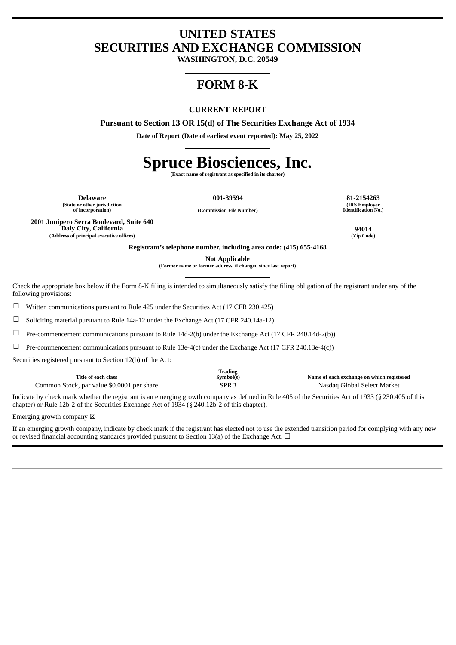## **UNITED STATES SECURITIES AND EXCHANGE COMMISSION**

**WASHINGTON, D.C. 20549**

# **FORM 8-K**

## **CURRENT REPORT**

**Pursuant to Section 13 OR 15(d) of The Securities Exchange Act of 1934**

**Date of Report (Date of earliest event reported): May 25, 2022**

# **Spruce Biosciences, Inc.**

**(Exact name of registrant as specified in its charter)**

**Delaware 001-39594 81-2154263 (State or other jurisdiction**

**of incorporation) (Commission File Number)**

**(IRS Employer Identification No.)**

**2001 Junipero Serra Boulevard, Suite 640 Daly City, California 94014 (Address of principal executive offices) (Zip Code)**

**Registrant's telephone number, including area code: (415) 655-4168**

**Not Applicable**

**(Former name or former address, if changed since last report)**

Check the appropriate box below if the Form 8-K filing is intended to simultaneously satisfy the filing obligation of the registrant under any of the following provisions:

 $\Box$  Written communications pursuant to Rule 425 under the Securities Act (17 CFR 230.425)

☐ Soliciting material pursuant to Rule 14a-12 under the Exchange Act (17 CFR 240.14a-12)

☐ Pre-commencement communications pursuant to Rule 14d-2(b) under the Exchange Act (17 CFR 240.14d-2(b))

☐ Pre-commencement communications pursuant to Rule 13e-4(c) under the Exchange Act (17 CFR 240.13e-4(c))

Securities registered pursuant to Section 12(b) of the Act:

| Trading                                    |           |                                           |  |  |  |
|--------------------------------------------|-----------|-------------------------------------------|--|--|--|
| Title of each class                        | Symbol(s) | Name of each exchange on which registered |  |  |  |
| Common Stock, par value \$0.0001 per share | SPRB      | Nasdag Global Select Market               |  |  |  |

Indicate by check mark whether the registrant is an emerging growth company as defined in Rule 405 of the Securities Act of 1933 (§ 230.405 of this chapter) or Rule 12b-2 of the Securities Exchange Act of 1934 (§ 240.12b-2 of this chapter).

Emerging growth company  $\boxtimes$ 

If an emerging growth company, indicate by check mark if the registrant has elected not to use the extended transition period for complying with any new or revised financial accounting standards provided pursuant to Section 13(a) of the Exchange Act.  $\Box$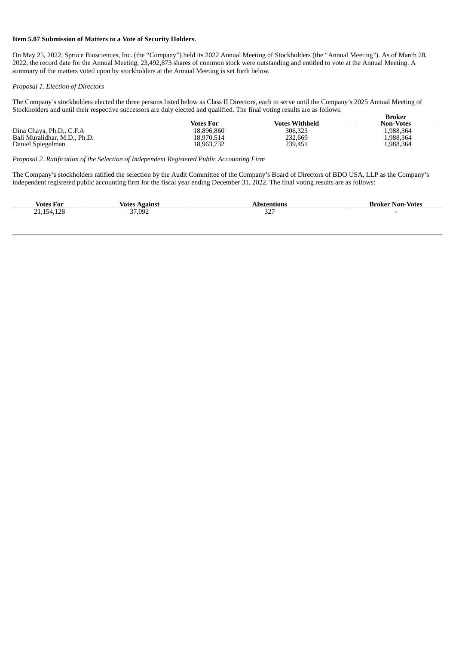#### **Item 5.07 Submission of Matters to a Vote of Security Holders.**

On May 25, 2022, Spruce Biosciences, Inc. (the "Company") held its 2022 Annual Meeting of Stockholders (the "Annual Meeting"). As of March 28, 2022, the record date for the Annual Meeting, 23,492,873 shares of common stock were outstanding and entitled to vote at the Annual Meeting. A summary of the matters voted upon by stockholders at the Annual Meeting is set forth below.

#### *Proposal 1. Election of Directors*

The Company's stockholders elected the three persons listed below as Class II Directors, each to serve until the Company's 2025 Annual Meeting of Stockholders and until their respective successors are duly elected and qualified. The final voting results are as follows: **Broker**

|                              | Votes For  | <b>Votes Withheld</b> | --------<br><b>Non-Votes</b> |
|------------------------------|------------|-----------------------|------------------------------|
| Dina Chaya, Ph.D., C.F.A     | 18.896.860 | 306,323               | 988.364                      |
| Bali Muralidhar, M.D., Ph.D. | 18.970.514 | 232,669               | .988,364.                    |
| Daniel Spiegelman            | 18,963,732 | 239,451               | 1,988,364                    |

*Proposal 2. Ratification of the Selection of Independent Registered Public Accounting Firm*

The Company's stockholders ratified the selection by the Audit Committee of the Company's Board of Directors of BDO USA, LLP as the Company's independent registered public accounting firm for the fiscal year ending December 31, 2022. The final voting results are as follows:

| . .<br>Votes<br>-For                          | votes<br>Agains | ons<br>$\mathbf{A}$          | Non-<br>-Votes<br>Broker |
|-----------------------------------------------|-----------------|------------------------------|--------------------------|
| 170<br>$\sim$ $\sim$<br>15 <sub>4</sub><br>__ | 37,092          | $\mathbf{a}$<br>ےں<br>$\sim$ |                          |